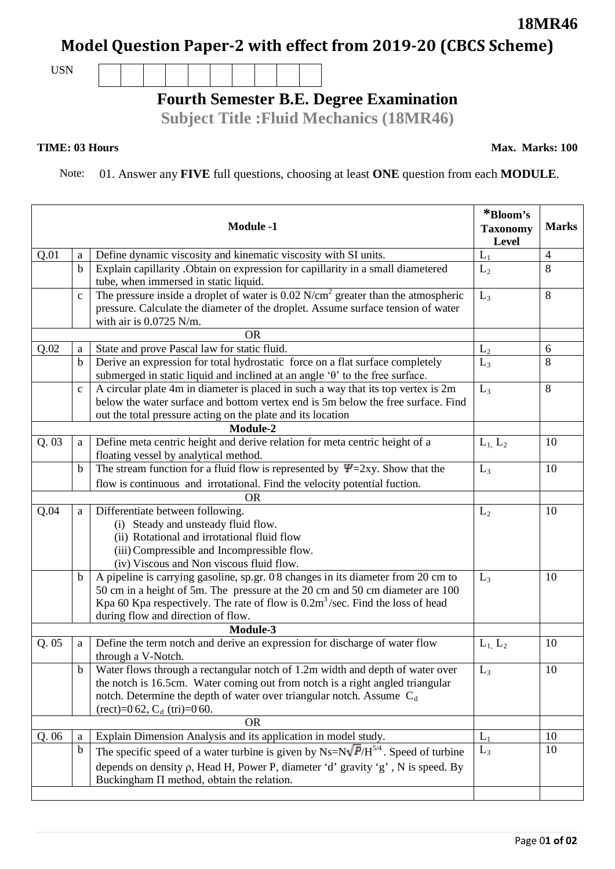## **Model Question Paper-2 with effect from 2019-20 (CBCS Scheme)**

USN

## **Fourth Semester B.E. Degree Examination**

**Subject Title :Fluid Mechanics (18MR46)**

## **TIME: 03 Hours**

Note: 01. Answer any **FIVE** full questions, choosing at least **ONE** question from each **MODULE**.

|           |              | <b>Module -1</b>                                                                                                                                                                                                                                                                                             | *Bloom's<br><b>Taxonomy</b><br><b>Level</b> | <b>Marks</b>   |  |
|-----------|--------------|--------------------------------------------------------------------------------------------------------------------------------------------------------------------------------------------------------------------------------------------------------------------------------------------------------------|---------------------------------------------|----------------|--|
| Q.01      | a            | Define dynamic viscosity and kinematic viscosity with SI units.                                                                                                                                                                                                                                              | $L_1$                                       | $\overline{4}$ |  |
|           | $\mathbf b$  | Explain capillarity . Obtain on expression for capillarity in a small diametered<br>tube, when immersed in static liquid.                                                                                                                                                                                    | L <sub>2</sub>                              | 8              |  |
|           | $\mathbf{c}$ | The pressure inside a droplet of water is $0.02$ N/cm <sup>2</sup> greater than the atmospheric<br>pressure. Calculate the diameter of the droplet. Assume surface tension of water<br>with air is $0.0725$ N/m.                                                                                             | $L_3$                                       | 8              |  |
| <b>OR</b> |              |                                                                                                                                                                                                                                                                                                              |                                             |                |  |
| Q.02      | a            | State and prove Pascal law for static fluid.                                                                                                                                                                                                                                                                 | L <sub>2</sub>                              | 6              |  |
|           | $\bf b$      | Derive an expression for total hydrostatic force on a flat surface completely<br>submerged in static liquid and inclined at an angle $\theta$ to the free surface.                                                                                                                                           | $L_3$                                       | 8              |  |
|           | $\mathbf c$  | A circular plate 4m in diameter is placed in such a way that its top vertex is 2m<br>below the water surface and bottom vertex end is 5m below the free surface. Find<br>out the total pressure acting on the plate and its location                                                                         | $L_3$                                       | 8              |  |
| Module-2  |              |                                                                                                                                                                                                                                                                                                              |                                             |                |  |
| Q.03      | a            | Define meta centric height and derive relation for meta centric height of a<br>floating vessel by analytical method.                                                                                                                                                                                         | $L_1$ , $L_2$                               | 10             |  |
|           | $\mathbf b$  | The stream function for a fluid flow is represented by $\Psi$ =2xy. Show that the                                                                                                                                                                                                                            | $L_3$                                       | 10             |  |
|           |              | flow is continuous and irrotational. Find the velocity potential fuction.                                                                                                                                                                                                                                    |                                             |                |  |
|           |              | <b>OR</b>                                                                                                                                                                                                                                                                                                    |                                             |                |  |
| Q.04      | a            | Differentiate between following.<br>(i) Steady and unsteady fluid flow.<br>(ii) Rotational and irrotational fluid flow<br>(iii) Compressible and Incompressible flow.<br>(iv) Viscous and Non viscous fluid flow.                                                                                            | L <sub>2</sub>                              | 10             |  |
|           | $\mathbf b$  | A pipeline is carrying gasoline, sp.gr. 0.8 changes in its diameter from 20 cm to<br>50 cm in a height of 5m. The pressure at the 20 cm and 50 cm diameter are 100<br>Kpa 60 Kpa respectively. The rate of flow is $0.2m3/sec$ . Find the loss of head<br>during flow and direction of flow.                 | $L_3$                                       | 10             |  |
| Module-3  |              |                                                                                                                                                                                                                                                                                                              |                                             |                |  |
| Q.05      | a            | Define the term notch and derive an expression for discharge of water flow<br>through a V-Notch.                                                                                                                                                                                                             | $L_1$ , $L_2$                               | 10             |  |
|           | $\mathbf b$  | Water flows through a rectangular notch of 1.2m width and depth of water over<br>the notch is 16.5cm. Water coming out from notch is a right angled triangular<br>notch. Determine the depth of water over triangular notch. Assume $C_d$<br>$(\text{rect}) = 0.62$ , C <sub>d</sub> $(\text{tri}) = 0.60$ . | $L_3$                                       | 10             |  |
| <b>OR</b> |              |                                                                                                                                                                                                                                                                                                              |                                             |                |  |
| Q.06      | a            | Explain Dimension Analysis and its application in model study.                                                                                                                                                                                                                                               | $L_1$                                       | 10             |  |
|           | $\mathbf b$  | The specific speed of a water turbine is given by Ns= $N\sqrt{P/H}^{5/4}$ . Speed of turbine<br>depends on density $\rho$ , Head H, Power P, diameter 'd' gravity 'g', N is speed. By<br>Buckingham $\Pi$ method, obtain the relation.                                                                       | $L_3$                                       | 10             |  |

**18MR46**

**Max. Marks: 100**